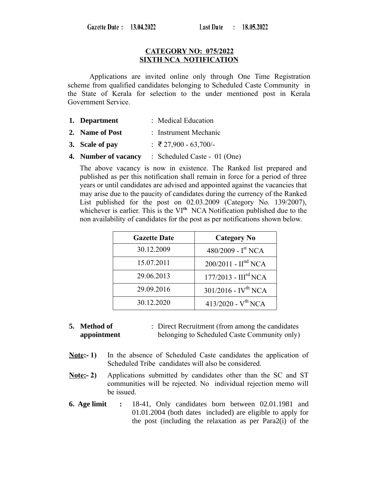Gazette Date: 13.04.2022

### **CATEGORY NO: 075/2022 SIXTH NCA NOTIFICATION**

Applications are invited online only through One Time Registration scheme from qualified candidates belonging to Scheduled Caste Community in the State of Kerala for selection to the under mentioned post in Kerala Government Service.

- **1. Department** : Medical Education
- **2. Name of Post** : Instrument Mechanic
- **3. Scale of pay** : ₹ 27,900 63,700/-
- **4. Number of vacancy** : Scheduled Caste 01 (One)

The above vacancy is now in existence. The Ranked list prepared and published as per this notification shall remain in force for a period of three years or until candidates are advised and appointed against the vacancies that may arise due to the paucity of candidates during the currency of the Ranked List published for the post on 02.03.2009 (Category No. 139/2007), whichever is earlier. This is the VI<sup>th</sup> NCA Notification published due to the non availability of candidates for the post as per notifications shown below.

| <b>Gazette Date</b> | <b>Category No</b>                |
|---------------------|-----------------------------------|
| 30.12.2009          | 480/2009 - $I^{\text{st}}$ NCA    |
| 15.07.2011          | $200/2011 - Hnd NCA$              |
| 29.06.2013          | $177/2013$ - $IIIrd NCA$          |
| 29.09.2016          | $301/2016$ - IV <sup>th</sup> NCA |
| 30.12.2020          | $413/2020 - V^{th} NCA$           |

**<sup>5.</sup> Method of appointment** : Direct Recruitment (from among the candidates belonging to Scheduled Caste Community only)

- **Note:- 1)** In the absence of Scheduled Caste candidates the application of Scheduled Tribe candidates will also be considered.
- **Note:-2)** Applications submitted by candidates other than the SC and ST communities will be rejected. No individual rejection memo will be issued.
- **6. Age limit :** 18-41, Only candidates born between 02.01.1981 and 01.01.2004 (both dates included) are eligible to apply for the post (including the relaxation as per Para2(i) of the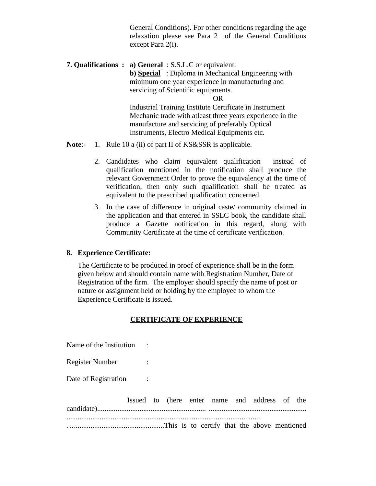General Conditions). For other conditions regarding the age relaxation please see Para 2 of the General Conditions except Para 2(i).

**7. Qualifications : a) General** : S.S.L.C or equivalent. **b) Special** : Diploma in Mechanical Engineering with minimum one year experience in manufacturing and servicing of Scientific equipments. OR Industrial Training Institute Certificate in Instrument Mechanic trade with atleast three years experience in the manufacture and servicing of preferably Optical Instruments, Electro Medical Equipments etc.

**Note**:- 1. Rule 10 a (ii) of part II of KS&SSR is applicable.

- 2. Candidates who claim equivalent qualification instead of qualification mentioned in the notification shall produce the relevant Government Order to prove the equivalency at the time of verification, then only such qualification shall be treated as equivalent to the prescribed qualification concerned.
- 3. In the case of difference in original caste/ community claimed in the application and that entered in SSLC book, the candidate shall produce a Gazette notification in this regard, along with Community Certificate at the time of certificate verification.

#### **8. Experience Certificate:**

The Certificate to be produced in proof of experience shall be in the form given below and should contain name with Registration Number, Date of Registration of the firm. The employer should specify the name of post or nature or assignment held or holding by the employee to whom the Experience Certificate is issued.

#### **CERTIFICATE OF EXPERIENCE**

Name of the Institution : Register Number :

Date of Registration :

| Issued to (here enter name and address of the |  |  |  |  |  |  |
|-----------------------------------------------|--|--|--|--|--|--|
|                                               |  |  |  |  |  |  |
|                                               |  |  |  |  |  |  |
|                                               |  |  |  |  |  |  |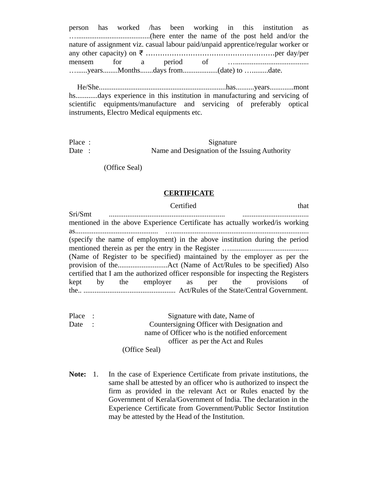person has worked /has been working in this institution as …........................................(here enter the name of the post held and/or the nature of assignment viz. casual labour paid/unpaid apprentice/regular worker or any other capacity) on ₹ …....................................................per day/per mensem for a period of …........................................ …......years........Months.......days from...................(date) to ….........date.

 He/She.....................................................................has..........years.............mont hs............days experience in this institution in manufacturing and servicing of scientific equipments/manufacture and servicing of preferably optical instruments, Electro Medical equipments etc.

Place : Signature Date : Name and Designation of the Issuing Authority

(Office Seal)

#### **CERTIFICATE**

**Certified** that that the control of the control of the control of the control of the control of the control of the control of the control of the control of the control of the control of the control of the control of the c

Sri/Smt ............................................................... .................................... mentioned in the above Experience Certificate has actually worked/is working as............................................. ….......................................................................... (specify the name of employment) in the above institution during the period mentioned therein as per the entry in the Register …........................................... (Name of Register to be specified) maintained by the employer as per the provision of the...........................Act (Name of Act/Rules to be specified) Also certified that I am the authorized officer responsible for inspecting the Registers kept by the employer as per the provisions of the.. .................................................. Act/Rules of the State/Central Government.

Place : Signature with date, Name of Date : Countersigning Officer with Designation and name of Officer who is the notified enforcement officer as per the Act and Rules (Office Seal)

**Note:** 1. In the case of Experience Certificate from private institutions, the same shall be attested by an officer who is authorized to inspect the firm as provided in the relevant Act or Rules enacted by the Government of Kerala/Government of India. The declaration in the Experience Certificate from Government/Public Sector Institution may be attested by the Head of the Institution.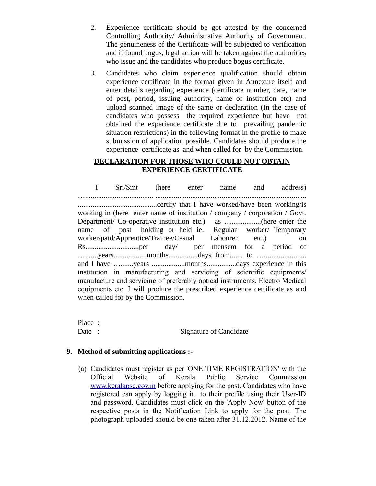- 2. Experience certificate should be got attested by the concerned Controlling Authority/ Administrative Authority of Government. The genuineness of the Certificate will be subjected to verification and if found bogus, legal action will be taken against the authorities who issue and the candidates who produce bogus certificate.
- 3. Candidates who claim experience qualification should obtain experience certificate in the format given in Annexure itself and enter details regarding experience (certificate number, date, name of post, period, issuing authority, name of institution etc) and upload scanned image of the same or declaration (In the case of candidates who possess the required experience but have not obtained the experience certificate due to prevailing pandemic situation restrictions) in the following format in the profile to make submission of application possible. Candidates should produce the experience certificate as and when called for by the Commission.

### **DECLARATION FOR THOSE WHO COULD NOT OBTAIN EXPERIENCE CERTIFICATE**

I Sri/Smt (here enter name and address) …..................................... .................................................................................. ...........................................certify that I have worked/have been working/is working in (here enter name of institution / company / corporation / Govt. Department/ Co-operative institution etc.) as …................(here enter the name of post holding or held ie. Regular worker/ Temporary worker/paid/Apprentice/Trainee/Casual Labourer etc.) on Rs.............................per day/ per mensem for a period of ….......years..................months................days from....... to …....................... and I have ….......years ..................months................days experience in this institution in manufacturing and servicing of scientific equipments/ manufacture and servicing of preferably optical instruments, Electro Medical equipments etc. I will produce the prescribed experience certificate as and when called for by the Commission.

Place : Date : Signature of Candidate

## **9. Method of submitting applications :-**

(a) Candidates must register as per 'ONE TIME REGISTRATION' with the Official Website of Kerala Public Service Commission [www.keralapsc.gov.in](http://www.kerealapsc.gov.in/) before applying for the post. Candidates who have registered can apply by logging in to their profile using their User-ID and password. Candidates must click on the 'Apply Now' button of the respective posts in the Notification Link to apply for the post. The photograph uploaded should be one taken after 31.12.2012. Name of the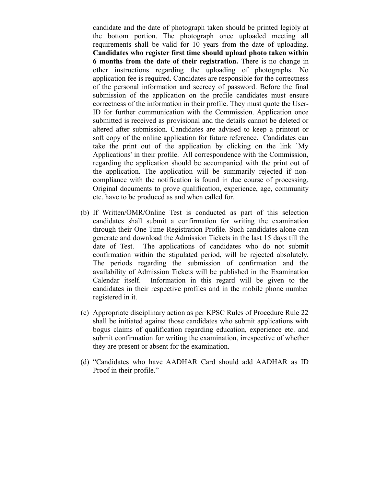candidate and the date of photograph taken should be printed legibly at the bottom portion. The photograph once uploaded meeting all requirements shall be valid for 10 years from the date of uploading. **Candidates who register first time should upload photo taken within 6 months from the date of their registration.** There is no change in other instructions regarding the uploading of photographs. No application fee is required. Candidates are responsible for the correctness of the personal information and secrecy of password. Before the final submission of the application on the profile candidates must ensure correctness of the information in their profile. They must quote the User-ID for further communication with the Commission. Application once submitted is received as provisional and the details cannot be deleted or altered after submission. Candidates are advised to keep a printout or soft copy of the online application for future reference. Candidates can take the print out of the application by clicking on the link `My Applications' in their profile. All correspondence with the Commission, regarding the application should be accompanied with the print out of the application. The application will be summarily rejected if noncompliance with the notification is found in due course of processing. Original documents to prove qualification, experience, age, community etc. have to be produced as and when called for.

- (b) If Written/OMR/Online Test is conducted as part of this selection candidates shall submit a confirmation for writing the examination through their One Time Registration Profile. Such candidates alone can generate and download the Admission Tickets in the last 15 days till the date of Test. The applications of candidates who do not submit confirmation within the stipulated period, will be rejected absolutely. The periods regarding the submission of confirmation and the availability of Admission Tickets will be published in the Examination Calendar itself. Information in this regard will be given to the candidates in their respective profiles and in the mobile phone number registered in it.
- (c) Appropriate disciplinary action as per KPSC Rules of Procedure Rule 22 shall be initiated against those candidates who submit applications with bogus claims of qualification regarding education, experience etc. and submit confirmation for writing the examination, irrespective of whether they are present or absent for the examination.
- (d) "Candidates who have AADHAR Card should add AADHAR as ID Proof in their profile."